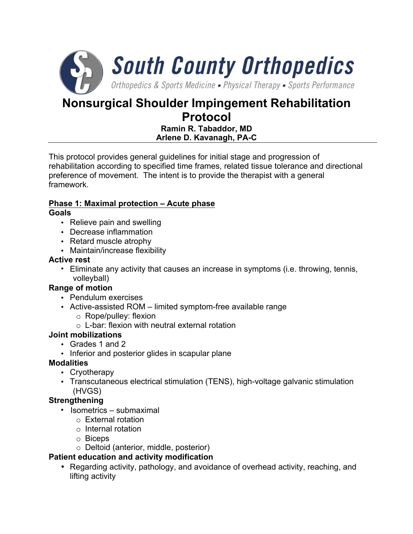

# **Nonsurgical Shoulder Impingement Rehabilitation Protocol**

### **Ramin R. Tabaddor, MD Arlene D. Kavanagh, PA-C**

This protocol provides general guidelines for initial stage and progression of rehabilitation according to specified time frames, related tissue tolerance and directional preference of movement. The intent is to provide the therapist with a general framework.

### **Phase 1: Maximal protection – Acute phase**

### **Goals**

- Relieve pain and swelling
- Decrease inflammation
- Retard muscle atrophy
- Maintain/increase flexibility

### **Active rest**

• Eliminate any activity that causes an increase in symptoms (i.e. throwing, tennis, volleyball)

### **Range of motion**

- Pendulum exercises
- Active-assisted ROM limited symptom-free available range
	- o Rope/pulley: flexion
	- $\circ$  L-bar: flexion with neutral external rotation

### **Joint mobilizations**

- Grades 1 and 2
- Inferior and posterior glides in scapular plane

### **Modalities**

- Cryotherapy
- Transcutaneous electrical stimulation (TENS), high-voltage galvanic stimulation (HVGS)

### **Strengthening**

- Isometrics submaximal
	- o External rotation
	- o Internal rotation
	- o Biceps
	- o Deltoid (anterior, middle, posterior)

### **Patient education and activity modification**

• Regarding activity, pathology, and avoidance of overhead activity, reaching, and lifting activity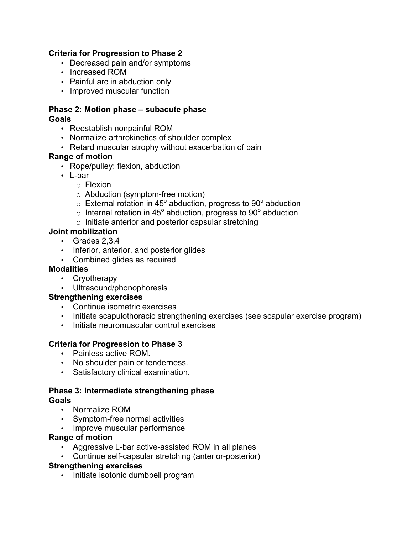#### **Criteria for Progression to Phase 2**

- Decreased pain and/or symptoms
- Increased ROM
- Painful arc in abduction only
- Improved muscular function

### **Phase 2: Motion phase – subacute phase**

#### **Goals**

- Reestablish nonpainful ROM
- Normalize arthrokinetics of shoulder complex
- Retard muscular atrophy without exacerbation of pain

#### **Range of motion**

- Rope/pulley: flexion, abduction
- L-bar
	- o Flexion
	- o Abduction (symptom-free motion)
	- $\circ$  External rotation in 45 $^{\circ}$  abduction, progress to 90 $^{\circ}$  abduction
	- $\circ$  Internal rotation in 45 $^{\circ}$  abduction, progress to 90 $^{\circ}$  abduction
	- o Initiate anterior and posterior capsular stretching

#### **Joint mobilization**

- Grades 2,3,4
- Inferior, anterior, and posterior glides
- Combined glides as required

#### **Modalities**

- Cryotherapy
- Ultrasound/phonophoresis

#### **Strengthening exercises**

- Continue isometric exercises
- Initiate scapulothoracic strengthening exercises (see scapular exercise program)
- Initiate neuromuscular control exercises

#### **Criteria for Progression to Phase 3**

- Painless active ROM.
- No shoulder pain or tenderness.
- Satisfactory clinical examination.

#### **Phase 3: Intermediate strengthening phase Goals**

- Normalize ROM
- Symptom-free normal activities
- Improve muscular performance

#### **Range of motion**

- Aggressive L-bar active-assisted ROM in all planes
- Continue self-capsular stretching (anterior-posterior)

#### **Strengthening exercises**

• Initiate isotonic dumbbell program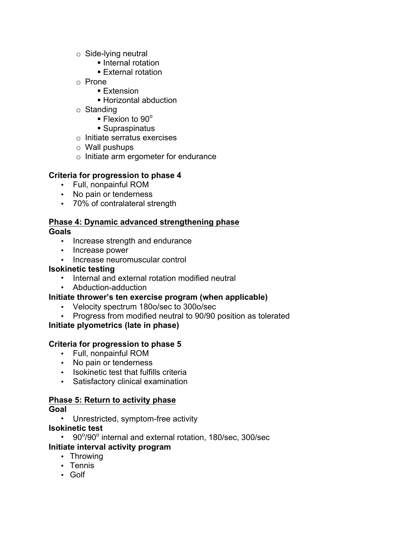- o Side-lying neutral
	- Internal rotation
	- External rotation
- o Prone
	- Extension
	- § Horizontal abduction
- o Standing
	- $\blacktriangleright$  Flexion to 90 $^{\circ}$
	- Supraspinatus
- o Initiate serratus exercises
- o Wall pushups
- o Initiate arm ergometer for endurance

### **Criteria for progression to phase 4**

- Full, nonpainful ROM
- No pain or tenderness
- 70% of contralateral strength

# **Phase 4: Dynamic advanced strengthening phase**

### **Goals**

- Increase strength and endurance
- Increase power
- Increase neuromuscular control

### **Isokinetic testing**

- Internal and external rotation modified neutral
- Abduction-adduction

### **Initiate thrower's ten exercise program (when applicable)**

- Velocity spectrum 180o/sec to 300o/sec
- Progress from modified neutral to 90/90 position as tolerated

# **Initiate plyometrics (late in phase)**

### **Criteria for progression to phase 5**

- Full, nonpainful ROM
- No pain or tenderness
- Isokinetic test that fulfills criteria
- Satisfactory clinical examination

# **Phase 5: Return to activity phase**

- **Goal** 
	- Unrestricted, symptom-free activity

### **Isokinetic test**

- 90°/90° internal and external rotation, 180/sec, 300/sec **Initiate interval activity program** 
	- Throwing
	- Tennis
	- Golf